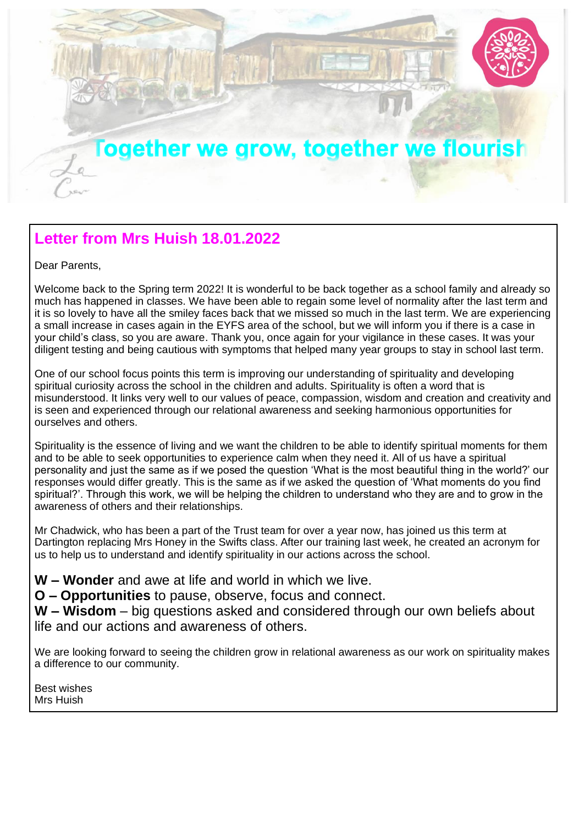

## **Letter from Mrs Huish 18.01.2022**

Dear Parents,

Welcome back to the Spring term 2022! It is wonderful to be back together as a school family and already so much has happened in classes. We have been able to regain some level of normality after the last term and it is so lovely to have all the smiley faces back that we missed so much in the last term. We are experiencing a small increase in cases again in the EYFS area of the school, but we will inform you if there is a case in your child's class, so you are aware. Thank you, once again for your vigilance in these cases. It was your diligent testing and being cautious with symptoms that helped many year groups to stay in school last term.

One of our school focus points this term is improving our understanding of spirituality and developing spiritual curiosity across the school in the children and adults. Spirituality is often a word that is misunderstood. It links very well to our values of peace, compassion, wisdom and creation and creativity and is seen and experienced through our relational awareness and seeking harmonious opportunities for ourselves and others.

Spirituality is the essence of living and we want the children to be able to identify spiritual moments for them and to be able to seek opportunities to experience calm when they need it. All of us have a spiritual personality and just the same as if we posed the question 'What is the most beautiful thing in the world?' our responses would differ greatly. This is the same as if we asked the question of 'What moments do you find spiritual?'. Through this work, we will be helping the children to understand who they are and to grow in the awareness of others and their relationships.

Mr Chadwick, who has been a part of the Trust team for over a year now, has joined us this term at Dartington replacing Mrs Honey in the Swifts class. After our training last week, he created an acronym for us to help us to understand and identify spirituality in our actions across the school.

**W – Wonder** and awe at life and world in which we live.

**O – Opportunities** to pause, observe, focus and connect.

**W – Wisdom** – big questions asked and considered through our own beliefs about life and our actions and awareness of others.

We are looking forward to seeing the children grow in relational awareness as our work on spirituality makes a difference to our community.

Best wishes Mrs Huish